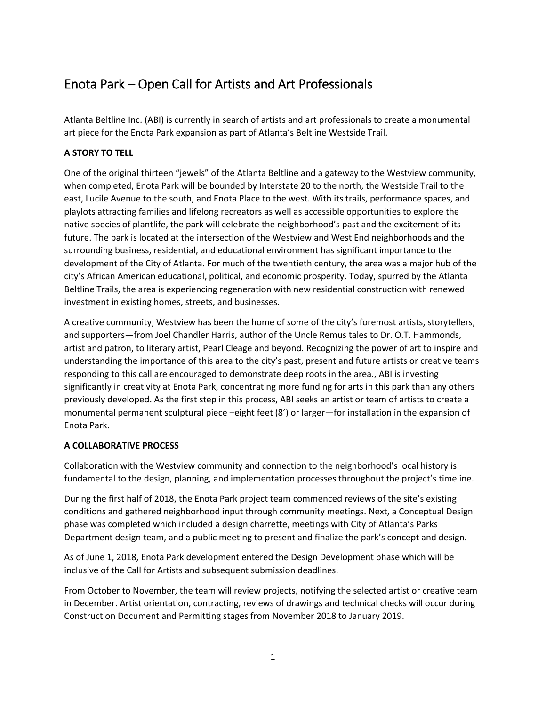# Enota Park – Open Call for Artists and Art Professionals

Atlanta Beltline Inc. (ABI) is currently in search of artists and art professionals to create a monumental art piece for the Enota Park expansion as part of Atlanta's Beltline Westside Trail.

## **A STORY TO TELL**

One of the original thirteen "jewels" of the Atlanta Beltline and a gateway to the Westview community, when completed, Enota Park will be bounded by Interstate 20 to the north, the Westside Trail to the east, Lucile Avenue to the south, and Enota Place to the west. With its trails, performance spaces, and playlots attracting families and lifelong recreators as well as accessible opportunities to explore the native species of plantlife, the park will celebrate the neighborhood's past and the excitement of its future. The park is located at the intersection of the Westview and West End neighborhoods and the surrounding business, residential, and educational environment has significant importance to the development of the City of Atlanta. For much of the twentieth century, the area was a major hub of the city's African American educational, political, and economic prosperity. Today, spurred by the Atlanta Beltline Trails, the area is experiencing regeneration with new residential construction with renewed investment in existing homes, streets, and businesses.

A creative community, Westview has been the home of some of the city's foremost artists, storytellers, and supporters—from Joel Chandler Harris, author of the Uncle Remus tales to Dr. O.T. Hammonds, artist and patron, to literary artist, Pearl Cleage and beyond. Recognizing the power of art to inspire and understanding the importance of this area to the city's past, present and future artists or creative teams responding to this call are encouraged to demonstrate deep roots in the area., ABI is investing significantly in creativity at Enota Park, concentrating more funding for arts in this park than any others previously developed. As the first step in this process, ABI seeks an artist or team of artists to create a monumental permanent sculptural piece –eight feet (8') or larger—for installation in the expansion of Enota Park.

## **A COLLABORATIVE PROCESS**

Collaboration with the Westview community and connection to the neighborhood's local history is fundamental to the design, planning, and implementation processes throughout the project's timeline.

During the first half of 2018, the Enota Park project team commenced reviews of the site's existing conditions and gathered neighborhood input through community meetings. Next, a Conceptual Design phase was completed which included a design charrette, meetings with City of Atlanta's Parks Department design team, and a public meeting to present and finalize the park's concept and design.

As of June 1, 2018, Enota Park development entered the Design Development phase which will be inclusive of the Call for Artists and subsequent submission deadlines.

From October to November, the team will review projects, notifying the selected artist or creative team in December. Artist orientation, contracting, reviews of drawings and technical checks will occur during Construction Document and Permitting stages from November 2018 to January 2019.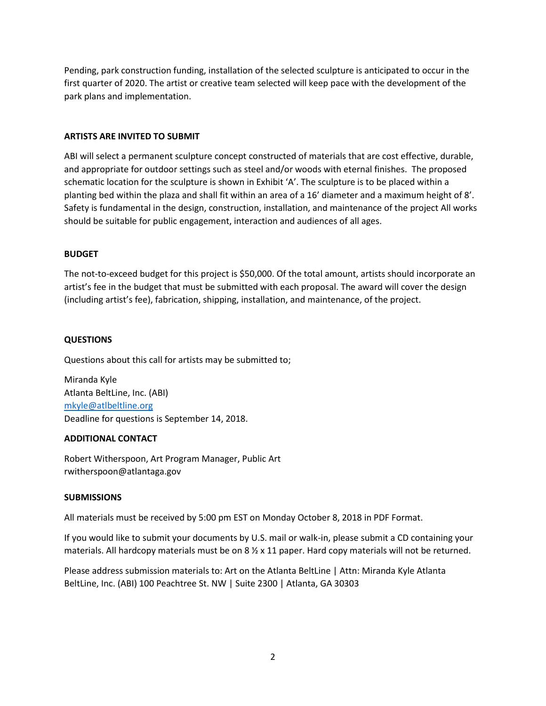Pending, park construction funding, installation of the selected sculpture is anticipated to occur in the first quarter of 2020. The artist or creative team selected will keep pace with the development of the park plans and implementation.

### **ARTISTS ARE INVITED TO SUBMIT**

ABI will select a permanent sculpture concept constructed of materials that are cost effective, durable, and appropriate for outdoor settings such as steel and/or woods with eternal finishes. The proposed schematic location for the sculpture is shown in Exhibit 'A'. The sculpture is to be placed within a planting bed within the plaza and shall fit within an area of a 16' diameter and a maximum height of 8'. Safety is fundamental in the design, construction, installation, and maintenance of the project All works should be suitable for public engagement, interaction and audiences of all ages.

## **BUDGET**

The not-to-exceed budget for this project is \$50,000. Of the total amount, artists should incorporate an artist's fee in the budget that must be submitted with each proposal. The award will cover the design (including artist's fee), fabrication, shipping, installation, and maintenance, of the project.

## **QUESTIONS**

Questions about this call for artists may be submitted to;

Miranda Kyle Atlanta BeltLine, Inc. (ABI) [mkyle@atlbeltline.org](mailto:mkyle@atlbeltline.org) Deadline for questions is September 14, 2018.

#### **ADDITIONAL CONTACT**

Robert Witherspoon, Art Program Manager, Public Art rwitherspoon@atlantaga.gov

#### **SUBMISSIONS**

All materials must be received by 5:00 pm EST on Monday October 8, 2018 in PDF Format.

If you would like to submit your documents by U.S. mail or walk-in, please submit a CD containing your materials. All hardcopy materials must be on  $8 \frac{1}{2} \times 11$  paper. Hard copy materials will not be returned.

Please address submission materials to: Art on the Atlanta BeltLine | Attn: Miranda Kyle Atlanta BeltLine, Inc. (ABI) 100 Peachtree St. NW | Suite 2300 | Atlanta, GA 30303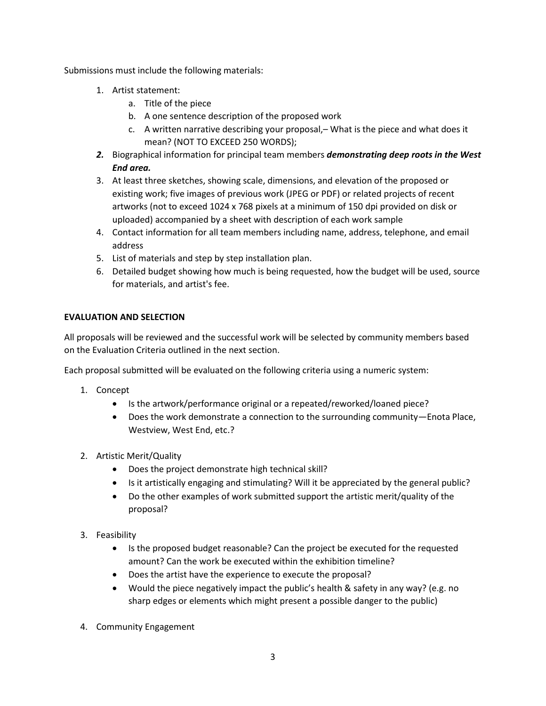Submissions must include the following materials:

- 1. Artist statement:
	- a. Title of the piece
	- b. A one sentence description of the proposed work
	- c. A written narrative describing your proposal,– What is the piece and what does it mean? (NOT TO EXCEED 250 WORDS);
- *2.* Biographical information for principal team members *demonstrating deep roots in the West End area.*
- 3. At least three sketches, showing scale, dimensions, and elevation of the proposed or existing work; five images of previous work (JPEG or PDF) or related projects of recent artworks (not to exceed 1024 x 768 pixels at a minimum of 150 dpi provided on disk or uploaded) accompanied by a sheet with description of each work sample
- 4. Contact information for all team members including name, address, telephone, and email address
- 5. List of materials and step by step installation plan.
- 6. Detailed budget showing how much is being requested, how the budget will be used, source for materials, and artist's fee.

## **EVALUATION AND SELECTION**

All proposals will be reviewed and the successful work will be selected by community members based on the Evaluation Criteria outlined in the next section.

Each proposal submitted will be evaluated on the following criteria using a numeric system:

- 1. Concept
	- Is the artwork/performance original or a repeated/reworked/loaned piece?
	- Does the work demonstrate a connection to the surrounding community—Enota Place, Westview, West End, etc.?
- 2. Artistic Merit/Quality
	- Does the project demonstrate high technical skill?
	- Is it artistically engaging and stimulating? Will it be appreciated by the general public?
	- Do the other examples of work submitted support the artistic merit/quality of the proposal?
- 3. Feasibility
	- Is the proposed budget reasonable? Can the project be executed for the requested amount? Can the work be executed within the exhibition timeline?
	- Does the artist have the experience to execute the proposal?
	- Would the piece negatively impact the public's health & safety in any way? (e.g. no sharp edges or elements which might present a possible danger to the public)
- 4. Community Engagement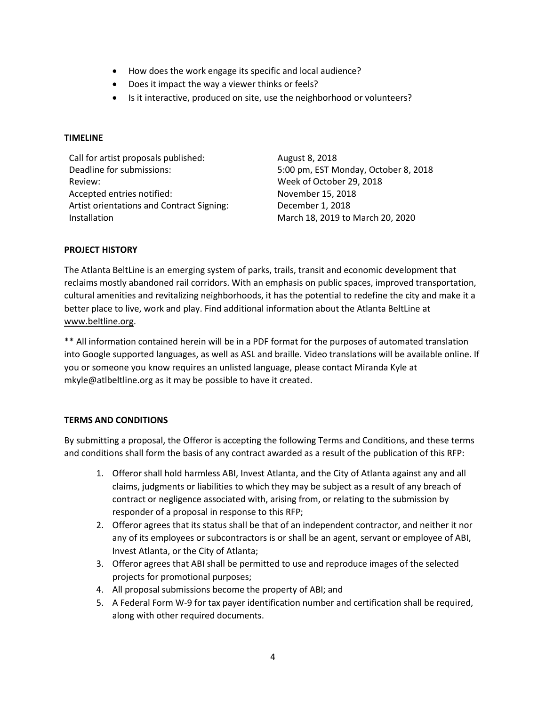- How does the work engage its specific and local audience?
- Does it impact the way a viewer thinks or feels?
- Is it interactive, produced on site, use the neighborhood or volunteers?

#### **TIMELINE**

| Call for artist proposals published:             | August 8, 2018                       |
|--------------------------------------------------|--------------------------------------|
| Deadline for submissions:                        | 5:00 pm, EST Monday, October 8, 2018 |
| Review:                                          | Week of October 29, 2018             |
| Accepted entries notified:                       | November 15, 2018                    |
| <b>Artist orientations and Contract Signing:</b> | December 1, 2018                     |
| Installation                                     | March 18, 2019 to March 20, 2020     |

#### **PROJECT HISTORY**

The Atlanta BeltLine is an emerging system of parks, trails, transit and economic development that reclaims mostly abandoned rail corridors. With an emphasis on public spaces, improved transportation, cultural amenities and revitalizing neighborhoods, it has the potential to redefine the city and make it a better place to live, work and play. Find additional information about the Atlanta BeltLine at [www.beltline.org.](http://www.beltline.org/)

\*\* All information contained herein will be in a PDF format for the purposes of automated translation into Google supported languages, as well as ASL and braille. Video translations will be available online. If you or someone you know requires an unlisted language, please contact Miranda Kyle at mkyle@atlbeltline.org as it may be possible to have it created.

#### **TERMS AND CONDITIONS**

By submitting a proposal, the Offeror is accepting the following Terms and Conditions, and these terms and conditions shall form the basis of any contract awarded as a result of the publication of this RFP:

- 1. Offeror shall hold harmless ABI, Invest Atlanta, and the City of Atlanta against any and all claims, judgments or liabilities to which they may be subject as a result of any breach of contract or negligence associated with, arising from, or relating to the submission by responder of a proposal in response to this RFP;
- 2. Offeror agrees that its status shall be that of an independent contractor, and neither it nor any of its employees or subcontractors is or shall be an agent, servant or employee of ABI, Invest Atlanta, or the City of Atlanta;
- 3. Offeror agrees that ABI shall be permitted to use and reproduce images of the selected projects for promotional purposes;
- 4. All proposal submissions become the property of ABI; and
- 5. A Federal Form W-9 for tax payer identification number and certification shall be required, along with other required documents.